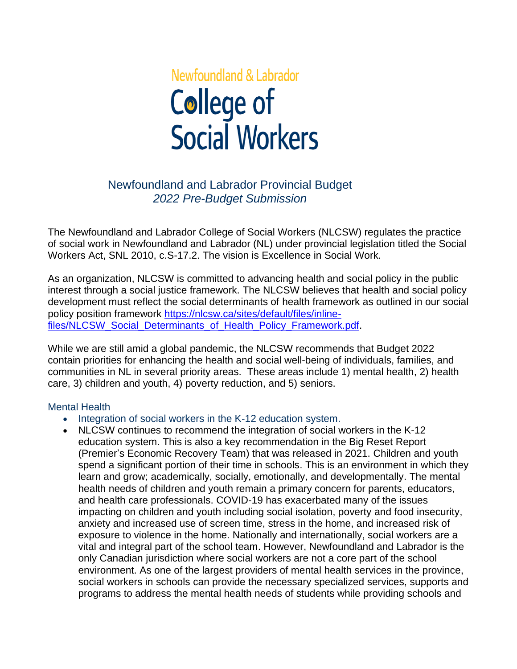# Newfoundland & Labrador **College of Social Workers**

# Newfoundland and Labrador Provincial Budget *2022 Pre-Budget Submission*

The Newfoundland and Labrador College of Social Workers (NLCSW) regulates the practice of social work in Newfoundland and Labrador (NL) under provincial legislation titled the Social Workers Act, SNL 2010, c.S-17.2. The vision is Excellence in Social Work.

As an organization, NLCSW is committed to advancing health and social policy in the public interest through a social justice framework. The NLCSW believes that health and social policy development must reflect the social determinants of health framework as outlined in our social policy position framework [https://nlcsw.ca/sites/default/files/inline](https://nlcsw.ca/sites/default/files/inline-files/NLCSW_Social_Determinants_of_Health_Policy_Framework.pdf)[files/NLCSW\\_Social\\_Determinants\\_of\\_Health\\_Policy\\_Framework.pdf.](https://nlcsw.ca/sites/default/files/inline-files/NLCSW_Social_Determinants_of_Health_Policy_Framework.pdf)

While we are still amid a global pandemic, the NLCSW recommends that Budget 2022 contain priorities for enhancing the health and social well-being of individuals, families, and communities in NL in several priority areas. These areas include 1) mental health, 2) health care, 3) children and youth, 4) poverty reduction, and 5) seniors.

# Mental Health

- Integration of social workers in the K-12 education system.
- NLCSW continues to recommend the integration of social workers in the K-12 education system. This is also a key recommendation in the Big Reset Report (Premier's Economic Recovery Team) that was released in 2021. Children and youth spend a significant portion of their time in schools. This is an environment in which they learn and grow; academically, socially, emotionally, and developmentally. The mental health needs of children and youth remain a primary concern for parents, educators, and health care professionals. COVID-19 has exacerbated many of the issues impacting on children and youth including social isolation, poverty and food insecurity, anxiety and increased use of screen time, stress in the home, and increased risk of exposure to violence in the home. Nationally and internationally, social workers are a vital and integral part of the school team. However, Newfoundland and Labrador is the only Canadian jurisdiction where social workers are not a core part of the school environment. As one of the largest providers of mental health services in the province, social workers in schools can provide the necessary specialized services, supports and programs to address the mental health needs of students while providing schools and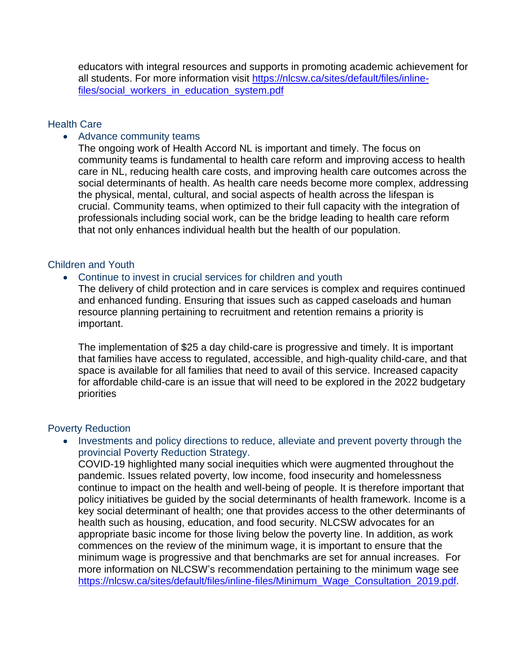educators with integral resources and supports in promoting academic achievement for all students. For more information visit [https://nlcsw.ca/sites/default/files/inline](https://nlcsw.ca/sites/default/files/inline-files/social_workers_in_education_system.pdf)[files/social\\_workers\\_in\\_education\\_system.pdf](https://nlcsw.ca/sites/default/files/inline-files/social_workers_in_education_system.pdf)

#### Health Care

#### • Advance community teams

The ongoing work of Health Accord NL is important and timely. The focus on community teams is fundamental to health care reform and improving access to health care in NL, reducing health care costs, and improving health care outcomes across the social determinants of health. As health care needs become more complex, addressing the physical, mental, cultural, and social aspects of health across the lifespan is crucial. Community teams, when optimized to their full capacity with the integration of professionals including social work, can be the bridge leading to health care reform that not only enhances individual health but the health of our population.

# Children and Youth

#### • Continue to invest in crucial services for children and youth

The delivery of child protection and in care services is complex and requires continued and enhanced funding. Ensuring that issues such as capped caseloads and human resource planning pertaining to recruitment and retention remains a priority is important.

The implementation of \$25 a day child-care is progressive and timely. It is important that families have access to regulated, accessible, and high-quality child-care, and that space is available for all families that need to avail of this service. Increased capacity for affordable child-care is an issue that will need to be explored in the 2022 budgetary priorities

#### Poverty Reduction

• Investments and policy directions to reduce, alleviate and prevent poverty through the provincial Poverty Reduction Strategy.

COVID-19 highlighted many social inequities which were augmented throughout the pandemic. Issues related poverty, low income, food insecurity and homelessness continue to impact on the health and well-being of people. It is therefore important that policy initiatives be guided by the social determinants of health framework. Income is a key social determinant of health; one that provides access to the other determinants of health such as housing, education, and food security. NLCSW advocates for an appropriate basic income for those living below the poverty line. In addition, as work commences on the review of the minimum wage, it is important to ensure that the minimum wage is progressive and that benchmarks are set for annual increases. For more information on NLCSW's recommendation pertaining to the minimum wage see [https://nlcsw.ca/sites/default/files/inline-files/Minimum\\_Wage\\_Consultation\\_2019.pdf.](https://nlcsw.ca/sites/default/files/inline-files/Minimum_Wage_Consultation_2019.pdf)